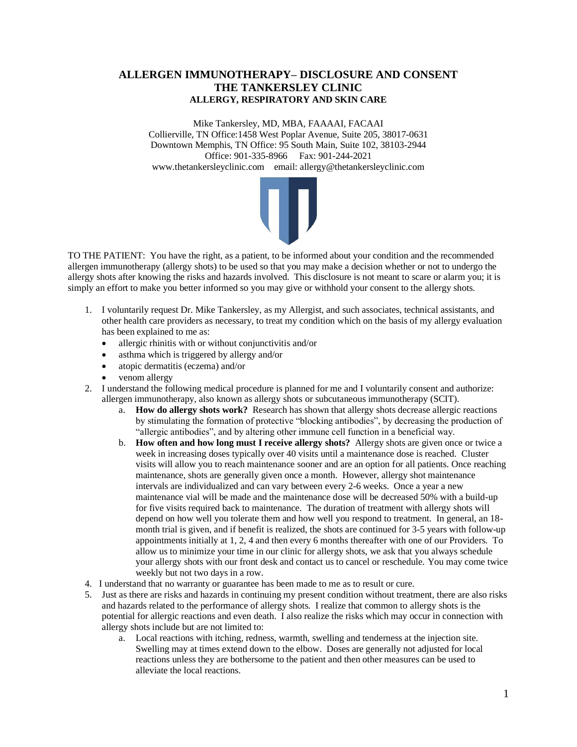## **ALLERGEN IMMUNOTHERAPY– DISCLOSURE AND CONSENT THE TANKERSLEY CLINIC ALLERGY, RESPIRATORY AND SKIN CARE**

Mike Tankersley, MD, MBA, FAAAAI, FACAAI Collierville, TN Office:1458 West Poplar Avenue, Suite 205, 38017-0631 Downtown Memphis, TN Office: 95 South Main, Suite 102, 38103-2944 Office: 901-335-8966 Fax: 901-244-2021 www.thetankersleyclinic.com email: allergy@thetankersleyclinic.com



TO THE PATIENT: You have the right, as a patient, to be informed about your condition and the recommended allergen immunotherapy (allergy shots) to be used so that you may make a decision whether or not to undergo the allergy shots after knowing the risks and hazards involved. This disclosure is not meant to scare or alarm you; it is simply an effort to make you better informed so you may give or withhold your consent to the allergy shots.

- 1. I voluntarily request Dr. Mike Tankersley, as my Allergist, and such associates, technical assistants, and other health care providers as necessary, to treat my condition which on the basis of my allergy evaluation has been explained to me as:
	- allergic rhinitis with or without conjunctivitis and/or
	- asthma which is triggered by allergy and/or
	- atopic dermatitis (eczema) and/or
	- venom allergy
- 2. I understand the following medical procedure is planned for me and I voluntarily consent and authorize: allergen immunotherapy, also known as allergy shots or subcutaneous immunotherapy (SCIT).
	- a. **How do allergy shots work?** Research has shown that allergy shots decrease allergic reactions by stimulating the formation of protective "blocking antibodies", by decreasing the production of "allergic antibodies", and by altering other immune cell function in a beneficial way.
	- b. **How often and how long must I receive allergy shots?** Allergy shots are given once or twice a week in increasing doses typically over 40 visits until a maintenance dose is reached. Cluster visits will allow you to reach maintenance sooner and are an option for all patients. Once reaching maintenance, shots are generally given once a month. However, allergy shot maintenance intervals are individualized and can vary between every 2-6 weeks. Once a year a new maintenance vial will be made and the maintenance dose will be decreased 50% with a build-up for five visits required back to maintenance. The duration of treatment with allergy shots will depend on how well you tolerate them and how well you respond to treatment. In general, an 18 month trial is given, and if benefit is realized, the shots are continued for 3-5 years with follow-up appointments initially at 1, 2, 4 and then every 6 months thereafter with one of our Providers. To allow us to minimize your time in our clinic for allergy shots, we ask that you always schedule your allergy shots with our front desk and contact us to cancel or reschedule. You may come twice weekly but not two days in a row.
- 4. I understand that no warranty or guarantee has been made to me as to result or cure.
- 5. Just as there are risks and hazards in continuing my present condition without treatment, there are also risks and hazards related to the performance of allergy shots. I realize that common to allergy shots is the potential for allergic reactions and even death. I also realize the risks which may occur in connection with allergy shots include but are not limited to:
	- a. Local reactions with itching, redness, warmth, swelling and tenderness at the injection site. Swelling may at times extend down to the elbow. Doses are generally not adjusted for local reactions unless they are bothersome to the patient and then other measures can be used to alleviate the local reactions.